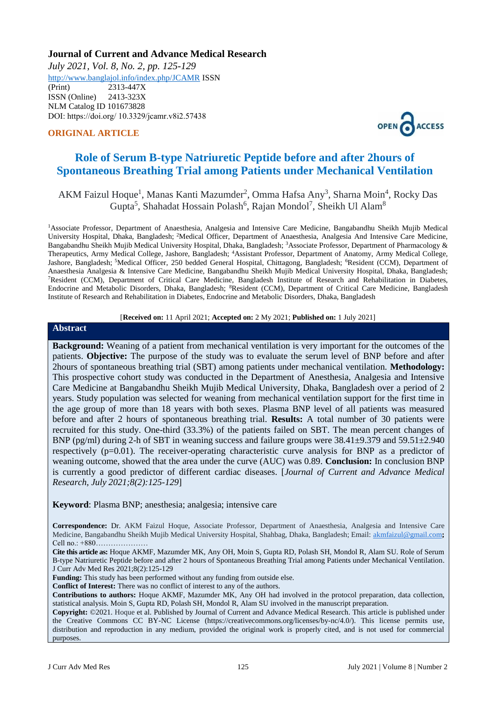# **Journal of Current and Advance Medical Research**

*July 2021, Vol. 8, No. 2, pp. 125-129* <http://www.banglajol.info/index.php/JCAMR>ISSN

(Print) 2313-447X ISSN (Online) 2413-323X [NLM Catalog](https://www.ncbi.nlm.nih.gov/nlmcatalog/101673828) ID 101673828 DOI: https://doi.org/ 10.3329/jcamr.v8i2.57438

### **ORIGINAL ARTICLE**



# **Role of Serum B-type Natriuretic Peptide before and after 2hours of Spontaneous Breathing Trial among Patients under Mechanical Ventilation**

# AKM Faizul Hoque<sup>1</sup>, Manas Kanti Mazumder<sup>2</sup>, Omma Hafsa Any<sup>3</sup>, Sharna Moin<sup>4</sup>, Rocky Das Gupta<sup>5</sup>, Shahadat Hossain Polash<sup>6</sup>, Rajan Mondol<sup>7</sup>, Sheikh Ul Alam<sup>8</sup>

<sup>1</sup>Associate Professor, Department of Anaesthesia, Analgesia and Intensive Care Medicine, Bangabandhu Sheikh Mujib Medical University Hospital, Dhaka, Bangladesh; <sup>2</sup>Medical Officer, Department of Anaesthesia, Analgesia And Intensive Care Medicine, Bangabandhu Sheikh Mujib Medical University Hospital, Dhaka, Bangladesh; <sup>3</sup>Associate Professor, Department of Pharmacology & Therapeutics, Army Medical College, Jashore, Bangladesh; <sup>4</sup>Assistant Professor, Department of Anatomy, Army Medical College, Jashore, Bangladesh; <sup>5</sup>Medical Officer, 250 bedded General Hospital, Chittagong, Bangladesh; <sup>6</sup>Resident (CCM), Department of Anaesthesia Analgesia & Intensive Care Medicine, Bangabandhu Sheikh Mujib Medical University Hospital, Dhaka, Bangladesh; <sup>7</sup>Resident (CCM), Department of Critical Care Medicine, Bangladesh Institute of Research and Rehabilitation in Diabetes, Endocrine and Metabolic Disorders, Dhaka, Bangladesh; <sup>8</sup>Resident (CCM), Department of Critical Care Medicine, Bangladesh Institute of Research and Rehabilitation in Diabetes, Endocrine and Metabolic Disorders, Dhaka, Bangladesh

#### [**Received on:** 11 April 2021; **Accepted on:** 2 My 2021; **Published on:** 1 July 2021]

#### **Abstract**

**Background:** Weaning of a patient from mechanical ventilation is very important for the outcomes of the patients. **Objective:** The purpose of the study was to evaluate the serum level of BNP before and after 2hours of spontaneous breathing trial (SBT) among patients under mechanical ventilation. **Methodology:**  This prospective cohort study was conducted in the Department of Anesthesia, Analgesia and Intensive Care Medicine at Bangabandhu Sheikh Mujib Medical University, Dhaka, Bangladesh over a period of 2 years. Study population was selected for weaning from mechanical ventilation support for the first time in the age group of more than 18 years with both sexes. Plasma BNP level of all patients was measured before and after 2 hours of spontaneous breathing trial. **Results:** A total number of 30 patients were recruited for this study. One-third (33.3%) of the patients failed on SBT. The mean percent changes of BNP (pg/ml) during 2-h of SBT in weaning success and failure groups were  $38.41\pm9.379$  and  $59.51\pm2.940$ respectively  $(p=0.01)$ . The receiver-operating characteristic curve analysis for BNP as a predictor of weaning outcome, showed that the area under the curve (AUC) was 0.89. **Conclusion:** In conclusion BNP is currently a good predictor of different cardiac diseases. [*Journal of Current and Advance Medical Research, July 2021;8(2):125-129*]

**Keyword**: Plasma BNP; anesthesia; analgesia; intensive care

**Correspondence:** Dr. AKM Faizul Hoque, Associate Professor, Department of Anaesthesia, Analgesia and Intensive Care Medicine, Bangabandhu Sheikh Mujib Medical University Hospital, Shahbag, Dhaka, Bangladesh; Email: [akmfaizul@gmail.com](mailto:akmfaizul@gmail.com)**;**  Cell no.: +880…………………

**Cite this article as:** Hoque AKMF, Mazumder MK, Any OH, Moin S, Gupta RD, Polash SH, Mondol R, Alam SU. Role of Serum B-type Natriuretic Peptide before and after 2 hours of Spontaneous Breathing Trial among Patients under Mechanical Ventilation. J Curr Adv Med Res 2021;8(2):125-129

Funding: This study has been performed without any funding from outside else.

**Conflict of Interest:** There was no conflict of interest to any of the authors.

**Contributions to authors:** Hoque AKMF, Mazumder MK, Any OH had involved in the protocol preparation, data collection, statistical analysis. Moin S, Gupta RD, Polash SH, Mondol R, Alam SU involved in the manuscript preparation.

**Copyright:** ©2021. Hoque et al. Published by Journal of Current and Advance Medical Research. This article is published under the Creative Commons CC BY-NC License (https://creativecommons.org/licenses/by-nc/4.0/). This license permits use, distribution and reproduction in any medium, provided the original work is properly cited, and is not used for commercial purposes.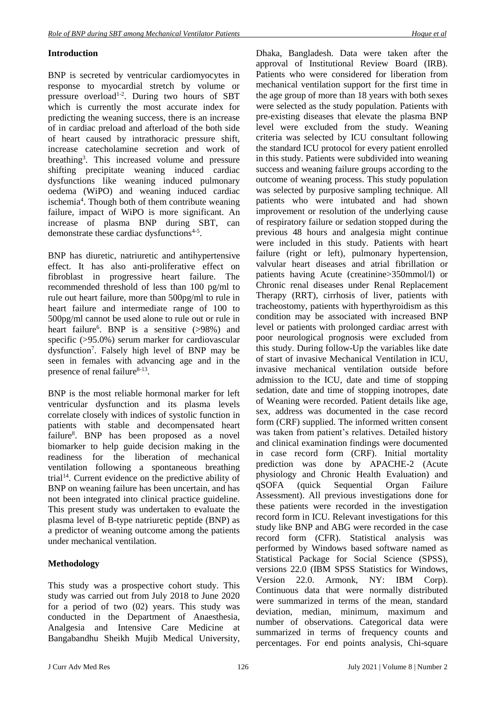# **Introduction**

BNP is secreted by ventricular cardiomyocytes in response to myocardial stretch by volume or pressure overload<sup>1-2</sup>. During two hours of SBT which is currently the most accurate index for predicting the weaning success, there is an increase of in cardiac preload and afterload of the both side of heart caused by intrathoracic pressure shift, increase catecholamine secretion and work of breathing<sup>3</sup>. This increased volume and pressure shifting precipitate weaning induced cardiac dysfunctions like weaning induced pulmonary oedema (WiPO) and weaning induced cardiac ischemia<sup>4</sup>. Though both of them contribute weaning failure, impact of WiPO is more significant. An increase of plasma BNP during SBT, can demonstrate these cardiac dysfunctions<sup>4-5</sup>.

BNP has diuretic, natriuretic and antihypertensive effect. It has also anti-proliferative effect on fibroblast in progressive heart failure. The recommended threshold of less than 100 pg/ml to rule out heart failure, more than 500pg/ml to rule in heart failure and intermediate range of 100 to 500pg/ml cannot be used alone to rule out or rule in heart failure<sup>6</sup>. BNP is a sensitive (>98%) and specific (>95.0%) serum marker for cardiovascular dysfunction<sup>7</sup> . Falsely high level of BNP may be seen in females with advancing age and in the presence of renal failure $8-13$ .

BNP is the most reliable hormonal marker for left ventricular dysfunction and its plasma levels correlate closely with indices of [systolic function](https://www.sciencedirect.com/topics/medicine-and-dentistry/systolic-function) in patients with stable and [decompensated heart](https://www.sciencedirect.com/topics/medicine-and-dentistry/decompensated-heart-failure)  [failure](https://www.sciencedirect.com/topics/medicine-and-dentistry/decompensated-heart-failure)<sup>8</sup>. BNP has been proposed as a novel biomarker to help guide decision making in the readiness for the liberation of mechanical ventilation following a spontaneous breathing trial<sup>14</sup>. Current evidence on the predictive ability of BNP on weaning failure has been uncertain, and has not been integrated into clinical practice guideline. This present study was undertaken to evaluate the plasma level of B-type natriuretic peptide (BNP) as a predictor of weaning outcome among the patients under mechanical ventilation.

# **Methodology**

This study was a prospective cohort study. This study was carried out from July 2018 to June 2020 for a period of two (02) years. This study was conducted in the Department of Anaesthesia, Analgesia and Intensive Care Medicine at Bangabandhu Sheikh Mujib Medical University,

Dhaka, Bangladesh. Data were taken after the approval of Institutional Review Board (IRB). Patients who were considered for liberation from mechanical ventilation support for the first time in the age group of more than 18 years with both sexes were selected as the study population. Patients with pre-existing diseases that elevate the plasma BNP level were excluded from the study. Weaning criteria was selected by ICU consultant following the standard ICU protocol for every patient enrolled in this study. Patients were subdivided into weaning success and weaning failure groups according to the outcome of weaning process. This study population was selected by purposive sampling technique. All patients who were intubated and had shown improvement or resolution of the underlying cause of respiratory failure or sedation stopped during the previous 48 hours and analgesia might continue were included in this study. Patients with heart failure (right or left), pulmonary hypertension, valvular heart diseases and atrial fibrillation or patients having Acute (creatinine>350mmol/l) or Chronic renal diseases under Renal Replacement Therapy (RRT), cirrhosis of liver, patients with tracheostomy, patients with hyperthyroidism as this condition may be associated with increased BNP level or patients with prolonged cardiac arrest with poor neurological prognosis were excluded from this study. During follow-Up the variables like date of start of invasive Mechanical Ventilation in ICU, invasive mechanical ventilation outside before admission to the ICU, date and time of stopping sedation, date and time of stopping inotropes, date of Weaning were recorded. Patient details like age, sex, address was documented in the case record form (CRF) supplied. The informed written consent was taken from patient's relatives. Detailed history and clinical examination findings were documented in case record form (CRF). Initial mortality prediction was done by APACHE-2 (Acute physiology and Chronic Health Evaluation) and qSOFA (quick Sequential Organ Failure Assessment). All previous investigations done for these patients were recorded in the investigation record form in ICU. Relevant investigations for this study like BNP and ABG were recorded in the case record form (CFR). Statistical analysis was performed by Windows based software named as Statistical Package for Social Science (SPSS), versions 22.0 (IBM SPSS Statistics for Windows, Version 22.0. Armonk, NY: IBM Corp). Continuous data that were normally distributed were summarized in terms of the mean, standard deviation, median, minimum, maximum and number of observations. Categorical data were summarized in terms of frequency counts and percentages. For end points analysis, Chi-square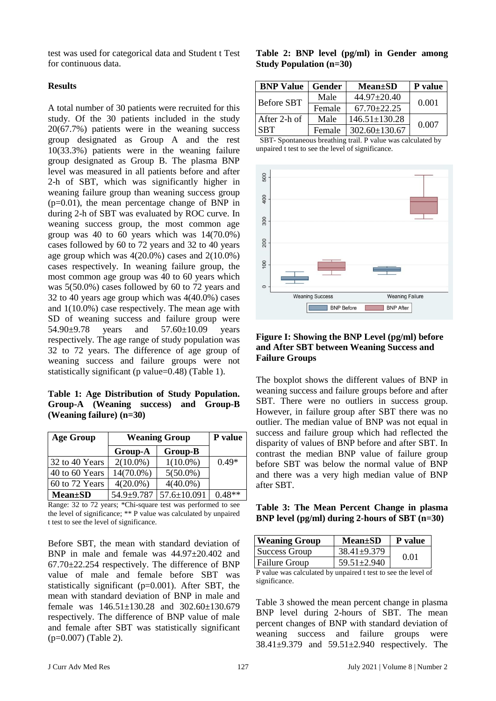test was used for categorical data and Student t Test for continuous data.

### **Results**

A total number of 30 patients were recruited for this study. Of the 30 patients included in the study 20(67.7%) patients were in the weaning success group designated as Group A and the rest 10(33.3%) patients were in the weaning failure group designated as Group B. The plasma BNP level was measured in all patients before and after 2-h of SBT, which was significantly higher in weaning failure group than weaning success group (p=0.01), the mean percentage change of BNP in during 2-h of SBT was evaluated by ROC curve. In weaning success group, the most common age group was 40 to 60 years which was 14(70.0%) cases followed by 60 to 72 years and 32 to 40 years age group which was  $4(20.0\%)$  cases and  $2(10.0\%)$ cases respectively. In weaning failure group, the most common age group was 40 to 60 years which was 5(50.0%) cases followed by 60 to 72 years and 32 to 40 years age group which was 4(40.0%) cases and 1(10.0%) case respectively. The mean age with SD of weaning success and failure group were 54.90±9.78 years and 57.60±10.09 years respectively. The age range of study population was 32 to 72 years. The difference of age group of weaning success and failure groups were not statistically significant (p value=0.48) (Table 1).

**Table 1: Age Distribution of Study Population. Group-A (Weaning success) and Group-B (Weaning failure) (n=30)**

| <b>Age Group</b> | <b>Weaning Group</b> | P value           |          |
|------------------|----------------------|-------------------|----------|
|                  | Group-A              | Group-B           |          |
| 32 to 40 Years   | $2(10.0\%)$          | $1(10.0\%)$       | $0.49*$  |
| 40 to 60 Years   | 14(70.0%)            | $5(50.0\%)$       |          |
| 60 to 72 Years   | $4(20.0\%)$          | $4(40.0\%)$       |          |
| <b>Mean</b> ±SD  | 54.9±9.787           | $57.6 \pm 10.091$ | $0.48**$ |

Range: 32 to 72 years; \*Chi-square test was performed to see the level of significance; \*\* P value was calculated by unpaired t test to see the level of significance.

Before SBT, the mean with standard deviation of BNP in male and female was 44.97±20.402 and 67.70±22.254 respectively. The difference of BNP value of male and female before SBT was statistically significant (p=0.001). After SBT, the mean with standard deviation of BNP in male and female was  $146.51 \pm 130.28$  and  $302.60 \pm 130.679$ respectively. The difference of BNP value of male and female after SBT was statistically significant (p=0.007) (Table 2).

|                                             |  |  | Table 2: BNP level (pg/ml) in Gender among |  |
|---------------------------------------------|--|--|--------------------------------------------|--|
| <b>Study Population <math>(n=30)</math></b> |  |  |                                            |  |

| <b>BNP Value</b>  | Gender | <b>Mean</b> ±SD     | P value |  |
|-------------------|--------|---------------------|---------|--|
| <b>Before SBT</b> | Male   | $44.97 \pm 20.40$   | 0.001   |  |
|                   | Female | $67.70 + 22.25$     |         |  |
| After 2-h of      | Male   | $146.51 \pm 130.28$ | 0.007   |  |
| <b>SBT</b>        | Female | $302.60 \pm 130.67$ |         |  |

 SBT- Spontaneous breathing trail. P value was calculated by unpaired t test to see the level of significance.



### **Figure I: Showing the BNP Level (pg/ml) before and After SBT between Weaning Success and Failure Groups**

The boxplot shows the different values of BNP in weaning success and failure groups before and after SBT. There were no outliers in success group. However, in failure group after SBT there was no outlier. The median value of BNP was not equal in success and failure group which had reflected the disparity of values of BNP before and after SBT. In contrast the median BNP value of failure group before SBT was below the normal value of BNP and there was a very high median value of BNP after SBT.

**Table 3: The Mean Percent Change in plasma BNP level (pg/ml) during 2-hours of SBT (n=30)**

| <b>Weaning Group</b> | <b>Mean</b> ±SD   | P value |  |
|----------------------|-------------------|---------|--|
| Success Group        | $38.41 \pm 9.379$ | 0.01    |  |
| <b>Failure Group</b> | 59.51±2.940       |         |  |
| $\mathbf{r}$ 1       |                   |         |  |

P value was calculated by unpaired t test to see the level of significance.

Table 3 showed the mean percent change in plasma BNP level during 2-hours of SBT. The mean percent changes of BNP with standard deviation of weaning success and failure groups were 38.41±9.379 and 59.51±2.940 respectively. The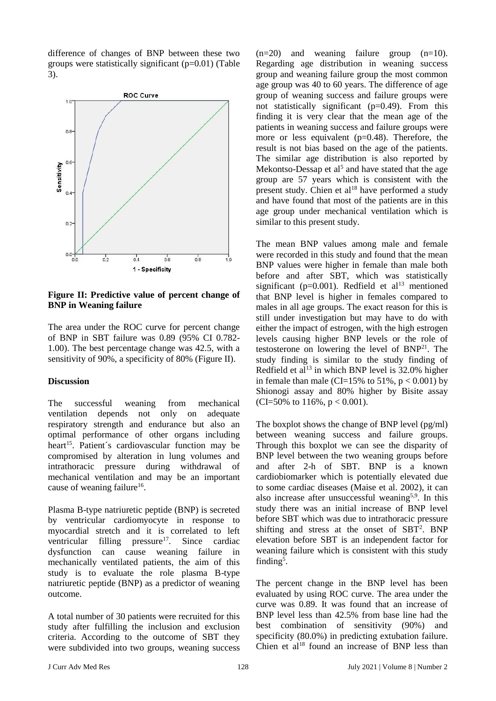difference of changes of BNP between these two groups were statistically significant  $(p=0.01)$  (Table 3).



**Figure II: Predictive value of percent change of BNP in Weaning failure**

The area under the ROC curve for percent change of BNP in SBT failure was 0.89 (95% CI 0.782- 1.00). The best percentage change was 42.5, with a sensitivity of 90%, a specificity of 80% (Figure II).

#### **Discussion**

The successful weaning from mechanical ventilation depends not only on adequate respiratory strength and endurance but also an optimal performance of other organs including heart<sup>15</sup>. Patient's cardiovascular function may be compromised by alteration in lung volumes and intrathoracic pressure during withdrawal of mechanical ventilation and may be an important cause of weaning failure<sup>16</sup>.

Plasma B-type natriuretic peptide (BNP) is secreted by ventricular cardiomyocyte in response to myocardial stretch and it is correlated to left ventricular filling  $presure<sup>17</sup>$ . Since cardiac dysfunction can cause weaning failure in mechanically ventilated patients, the aim of this study is to evaluate the role plasma B-type natriuretic peptide (BNP) as a predictor of weaning outcome.

A total number of 30 patients were recruited for this study after fulfilling the inclusion and exclusion criteria. According to the outcome of SBT they were subdivided into two groups, weaning success

 $(n=20)$  and weaning failure group  $(n=10)$ . Regarding age distribution in weaning success group and weaning failure group the most common age group was 40 to 60 years. The difference of age group of weaning success and failure groups were not statistically significant (p=0.49). From this finding it is very clear that the mean age of the patients in weaning success and failure groups were more or less equivalent (p=0.48). Therefore, the result is not bias based on the age of the patients. The similar age distribution is also reported by Mekontso-Dessap et al<sup>5</sup> and have stated that the age group are 57 years which is consistent with the present study. Chien et  $al^{18}$  have performed a study and have found that most of the patients are in this age group under mechanical ventilation which is similar to this present study.

The mean BNP values among male and female were recorded in this study and found that the mean BNP values were higher in female than male both before and after SBT, which was statistically significant ( $p=0.001$ ). Redfield et al<sup>13</sup> mentioned that BNP level is higher in females compared to males in all age groups. The exact reason for this is still under investigation but may have to do with either the impact of estrogen, with the high estrogen levels causing higher BNP levels or the role of testosterone on lowering the level of  $BNP<sup>21</sup>$ . The study finding is similar to the study finding of Redfield et al<sup>13</sup> in which BNP level is  $32.0\%$  higher in female than male (CI=15% to  $51\%$ ,  $p < 0.001$ ) by Shionogi assay and 80% higher by Bisite assay (CI=50% to 116%,  $p < 0.001$ ).

The boxplot shows the change of BNP level (pg/ml) between weaning success and failure groups. Through this boxplot we can see the disparity of BNP level between the two weaning groups before and after 2-h of SBT. BNP is a known cardiobiomarker which is potentially elevated due to some cardiac diseases (Maise et al. 2002), it can also increase after unsuccessful weaning<sup>5,9</sup>. In this study there was an initial increase of BNP level before SBT which was due to intrathoracic pressure shifting and stress at the onset of SBT<sup>2</sup> . BNP elevation before SBT is an independent factor for weaning failure which is consistent with this study finding<sup>5</sup>.

The percent change in the BNP level has been evaluated by using ROC curve. The area under the curve was 0.89. It was found that an increase of BNP level less than 42.5% from base line had the best combination of sensitivity (90%) and specificity (80.0%) in predicting extubation failure. Chien et al $^{18}$  found an increase of BNP less than